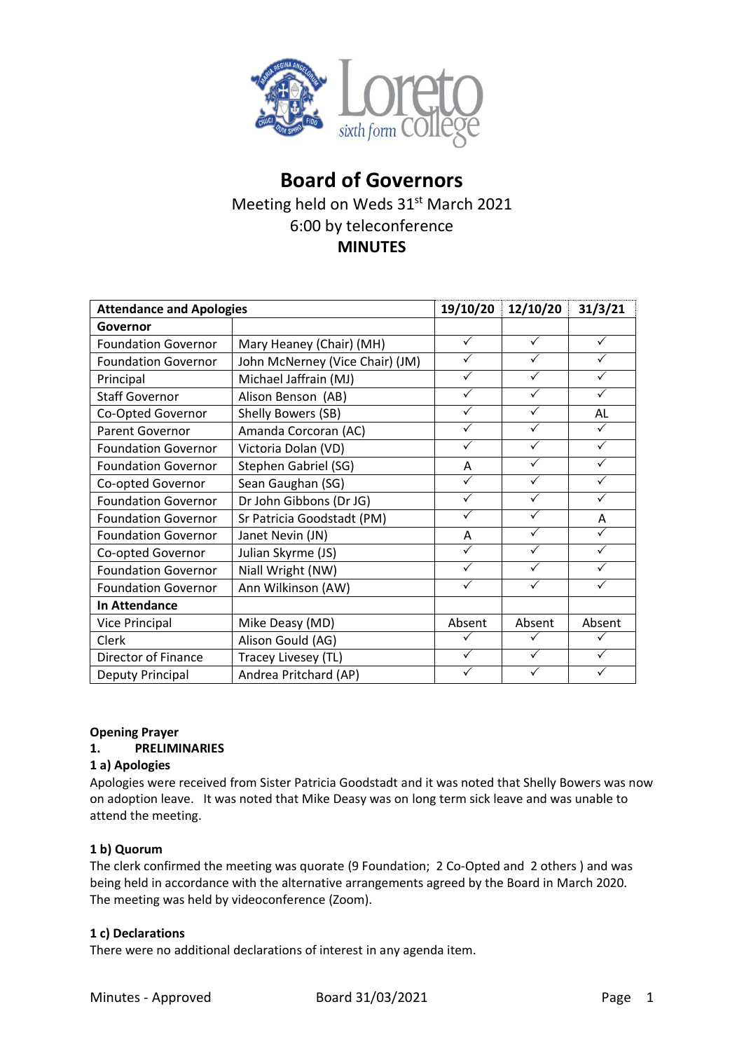

# **Board of Governors** Meeting held on Weds 31<sup>st</sup> March 2021 6:00 by teleconference **MINUTES**

| <b>Attendance and Apologies</b> |                                 | 19/10/20     | 12/10/20     | 31/3/21      |
|---------------------------------|---------------------------------|--------------|--------------|--------------|
| Governor                        |                                 |              |              |              |
| <b>Foundation Governor</b>      | Mary Heaney (Chair) (MH)        | ✓            | $\checkmark$ | ✓            |
| <b>Foundation Governor</b>      | John McNerney (Vice Chair) (JM) | ✓            | ✓            | ✓            |
| Principal                       | Michael Jaffrain (MJ)           |              | ✓            |              |
| <b>Staff Governor</b>           | Alison Benson (AB)              | ✓            | $\checkmark$ | $\checkmark$ |
| Co-Opted Governor               | Shelly Bowers (SB)              | ✓            | ✓            | AL           |
| Parent Governor                 | Amanda Corcoran (AC)            | ✓            |              | $\checkmark$ |
| <b>Foundation Governor</b>      | Victoria Dolan (VD)             | ✓            | ✓            | $\checkmark$ |
| <b>Foundation Governor</b>      | Stephen Gabriel (SG)            | A            | ✓            | $\checkmark$ |
| Co-opted Governor               | Sean Gaughan (SG)               |              | ✓            | $\checkmark$ |
| <b>Foundation Governor</b>      | Dr John Gibbons (Dr JG)         | ✓            | ✓            | ✓            |
| <b>Foundation Governor</b>      | Sr Patricia Goodstadt (PM)      | $\checkmark$ | ✓            | A            |
| <b>Foundation Governor</b>      | Janet Nevin (JN)                | Α            | $\checkmark$ | ✓            |
| Co-opted Governor               | Julian Skyrme (JS)              | ✓            | ✓            | ✓            |
| <b>Foundation Governor</b>      | Niall Wright (NW)               | $\checkmark$ | ✓            | ✓            |
| <b>Foundation Governor</b>      | Ann Wilkinson (AW)              |              | ✓            | $\checkmark$ |
| <b>In Attendance</b>            |                                 |              |              |              |
| <b>Vice Principal</b>           | Mike Deasy (MD)                 | Absent       | Absent       | Absent       |
| Clerk                           | Alison Gould (AG)               | ✓            | ✓            | $\checkmark$ |
| Director of Finance             | Tracey Livesey (TL)             | ✓            | ✓            | $\checkmark$ |
| Deputy Principal                | Andrea Pritchard (AP)           |              |              |              |

#### **Opening Prayer**

#### **1. PRELIMINARIES**

#### **1 a) Apologies**

Apologies were received from Sister Patricia Goodstadt and it was noted that Shelly Bowers was now on adoption leave. It was noted that Mike Deasy was on long term sick leave and was unable to attend the meeting.

#### **1 b) Quorum**

The clerk confirmed the meeting was quorate (9 Foundation; 2 Co-Opted and 2 others ) and was being held in accordance with the alternative arrangements agreed by the Board in March 2020. The meeting was held by videoconference (Zoom).

#### **1 c) Declarations**

There were no additional declarations of interest in any agenda item.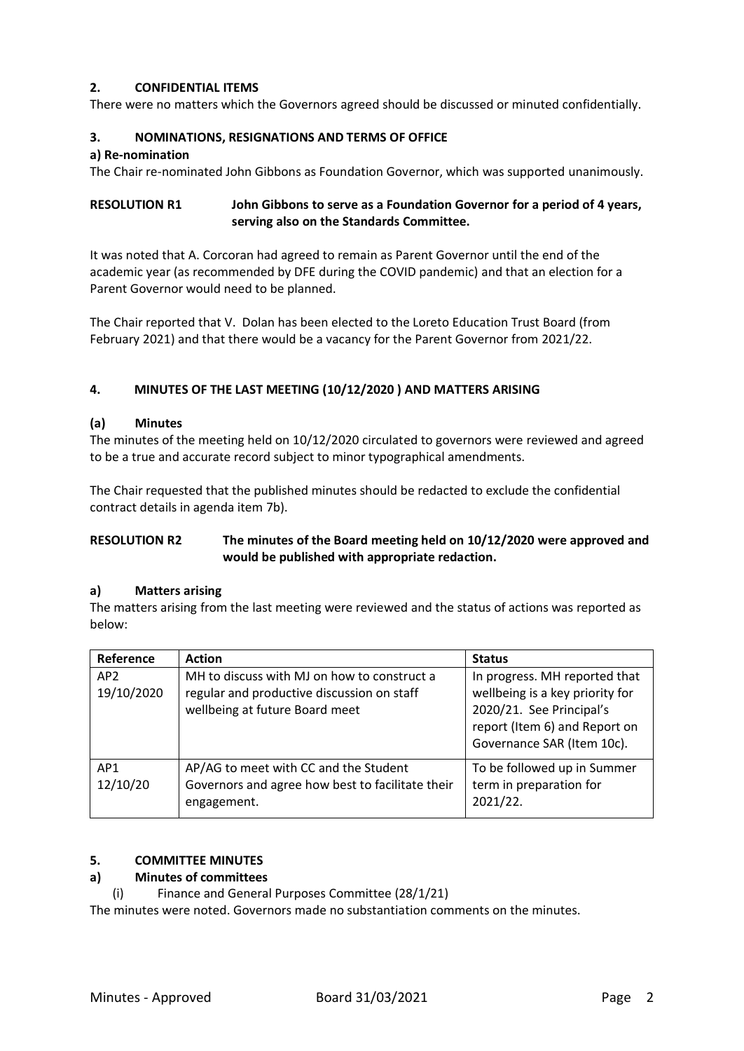### **2. CONFIDENTIAL ITEMS**

There were no matters which the Governors agreed should be discussed or minuted confidentially.

#### **3. NOMINATIONS, RESIGNATIONS AND TERMS OF OFFICE**

#### **a) Re-nomination**

The Chair re-nominated John Gibbons as Foundation Governor, which was supported unanimously.

### **RESOLUTION R1 John Gibbons to serve as a Foundation Governor for a period of 4 years, serving also on the Standards Committee.**

It was noted that A. Corcoran had agreed to remain as Parent Governor until the end of the academic year (as recommended by DFE during the COVID pandemic) and that an election for a Parent Governor would need to be planned.

The Chair reported that V. Dolan has been elected to the Loreto Education Trust Board (from February 2021) and that there would be a vacancy for the Parent Governor from 2021/22.

### **4. MINUTES OF THE LAST MEETING (10/12/2020 ) AND MATTERS ARISING**

#### **(a) Minutes**

The minutes of the meeting held on 10/12/2020 circulated to governors were reviewed and agreed to be a true and accurate record subject to minor typographical amendments.

The Chair requested that the published minutes should be redacted to exclude the confidential contract details in agenda item 7b).

### **RESOLUTION R2 The minutes of the Board meeting held on 10/12/2020 were approved and would be published with appropriate redaction.**

#### **a) Matters arising**

The matters arising from the last meeting were reviewed and the status of actions was reported as below:

| Reference                     | <b>Action</b>                                                                                                               | <b>Status</b>                                                                                                                                               |
|-------------------------------|-----------------------------------------------------------------------------------------------------------------------------|-------------------------------------------------------------------------------------------------------------------------------------------------------------|
| AP <sub>2</sub><br>19/10/2020 | MH to discuss with MJ on how to construct a<br>regular and productive discussion on staff<br>wellbeing at future Board meet | In progress. MH reported that<br>wellbeing is a key priority for<br>2020/21. See Principal's<br>report (Item 6) and Report on<br>Governance SAR (Item 10c). |
| AP <sub>1</sub><br>12/10/20   | AP/AG to meet with CC and the Student<br>Governors and agree how best to facilitate their<br>engagement.                    | To be followed up in Summer<br>term in preparation for<br>2021/22.                                                                                          |

### **5. COMMITTEE MINUTES**

#### **a) Minutes of committees**

(i) Finance and General Purposes Committee (28/1/21)

The minutes were noted. Governors made no substantiation comments on the minutes.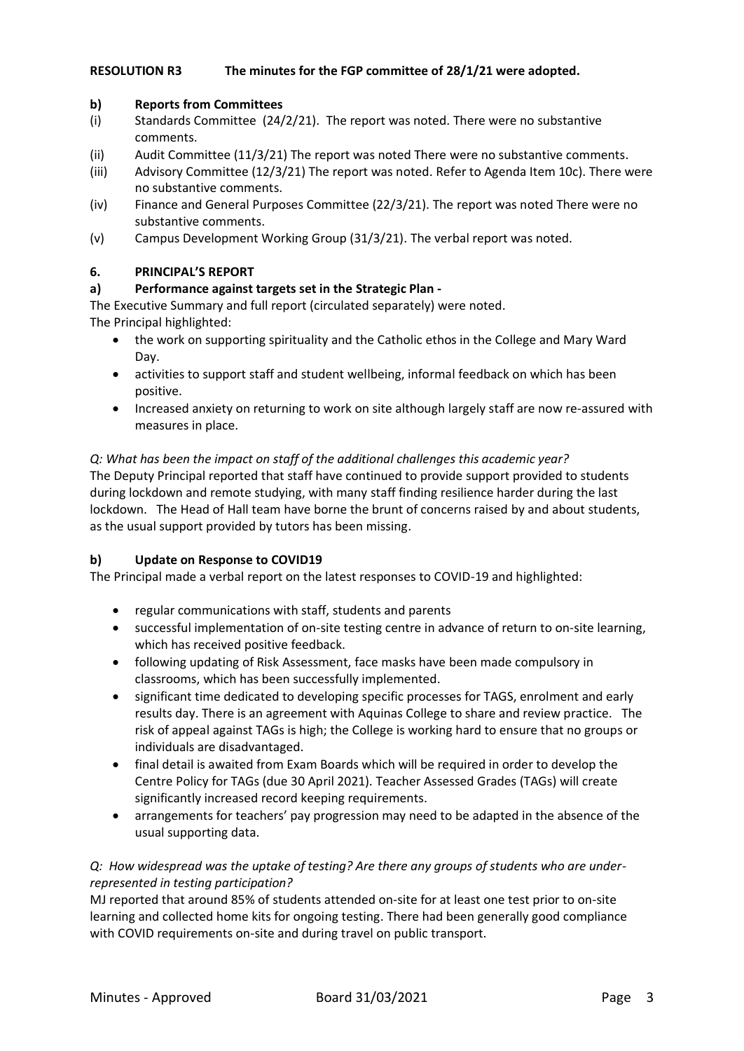### **RESOLUTION R3 The minutes for the FGP committee of 28/1/21 were adopted.**

#### **b) Reports from Committees**

- (i) Standards Committee (24/2/21). The report was noted. There were no substantive comments.
- (ii) Audit Committee (11/3/21) The report was noted There were no substantive comments.
- (iii) Advisory Committee (12/3/21) The report was noted. Refer to Agenda Item 10c). There were no substantive comments.
- (iv) Finance and General Purposes Committee (22/3/21). The report was noted There were no substantive comments.
- (v) Campus Development Working Group (31/3/21). The verbal report was noted.

### **6. PRINCIPAL'S REPORT**

### **a) Performance against targets set in the Strategic Plan -**

The Executive Summary and full report (circulated separately) were noted. The Principal highlighted:

- the work on supporting spirituality and the Catholic ethos in the College and Mary Ward Day.
- activities to support staff and student wellbeing, informal feedback on which has been positive.
- Increased anxiety on returning to work on site although largely staff are now re-assured with measures in place.

#### *Q: What has been the impact on staff of the additional challenges this academic year?*

The Deputy Principal reported that staff have continued to provide support provided to students during lockdown and remote studying, with many staff finding resilience harder during the last lockdown. The Head of Hall team have borne the brunt of concerns raised by and about students, as the usual support provided by tutors has been missing.

#### **b) Update on Response to COVID19**

The Principal made a verbal report on the latest responses to COVID-19 and highlighted:

- regular communications with staff, students and parents
- successful implementation of on-site testing centre in advance of return to on-site learning, which has received positive feedback.
- following updating of Risk Assessment, face masks have been made compulsory in classrooms, which has been successfully implemented.
- significant time dedicated to developing specific processes for TAGS, enrolment and early results day. There is an agreement with Aquinas College to share and review practice. The risk of appeal against TAGs is high; the College is working hard to ensure that no groups or individuals are disadvantaged.
- final detail is awaited from Exam Boards which will be required in order to develop the Centre Policy for TAGs (due 30 April 2021). Teacher Assessed Grades (TAGs) will create significantly increased record keeping requirements.
- arrangements for teachers' pay progression may need to be adapted in the absence of the usual supporting data.

### *Q: How widespread was the uptake of testing? Are there any groups of students who are underrepresented in testing participation?*

MJ reported that around 85% of students attended on-site for at least one test prior to on-site learning and collected home kits for ongoing testing. There had been generally good compliance with COVID requirements on-site and during travel on public transport.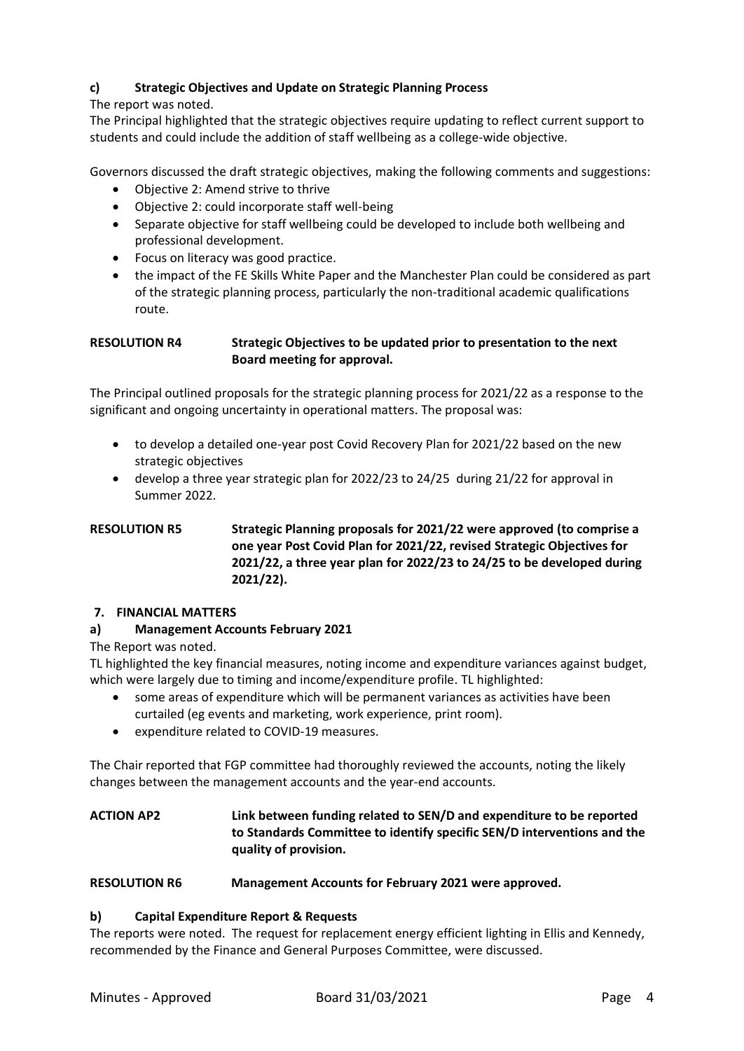## **c) Strategic Objectives and Update on Strategic Planning Process**

The report was noted.

The Principal highlighted that the strategic objectives require updating to reflect current support to students and could include the addition of staff wellbeing as a college-wide objective.

Governors discussed the draft strategic objectives, making the following comments and suggestions:

- Objective 2: Amend strive to thrive
- Objective 2: could incorporate staff well-being
- Separate objective for staff wellbeing could be developed to include both wellbeing and professional development.
- Focus on literacy was good practice.
- the impact of the FE Skills White Paper and the Manchester Plan could be considered as part of the strategic planning process, particularly the non-traditional academic qualifications route.

### **RESOLUTION R4 Strategic Objectives to be updated prior to presentation to the next Board meeting for approval.**

The Principal outlined proposals for the strategic planning process for 2021/22 as a response to the significant and ongoing uncertainty in operational matters. The proposal was:

- to develop a detailed one-year post Covid Recovery Plan for 2021/22 based on the new strategic objectives
- develop a three year strategic plan for 2022/23 to 24/25 during 21/22 for approval in Summer 2022.

# **RESOLUTION R5 Strategic Planning proposals for 2021/22 were approved (to comprise a one year Post Covid Plan for 2021/22, revised Strategic Objectives for 2021/22, a three year plan for 2022/23 to 24/25 to be developed during 2021/22).**

### **7. FINANCIAL MATTERS**

### **a) Management Accounts February 2021**

### The Report was noted.

TL highlighted the key financial measures, noting income and expenditure variances against budget, which were largely due to timing and income/expenditure profile. TL highlighted:

- some areas of expenditure which will be permanent variances as activities have been curtailed (eg events and marketing, work experience, print room).
- expenditure related to COVID-19 measures.

The Chair reported that FGP committee had thoroughly reviewed the accounts, noting the likely changes between the management accounts and the year-end accounts.

# **ACTION AP2 Link between funding related to SEN/D and expenditure to be reported to Standards Committee to identify specific SEN/D interventions and the quality of provision.**

#### **RESOLUTION R6 Management Accounts for February 2021 were approved.**

### **b) Capital Expenditure Report & Requests**

The reports were noted. The request for replacement energy efficient lighting in Ellis and Kennedy, recommended by the Finance and General Purposes Committee, were discussed.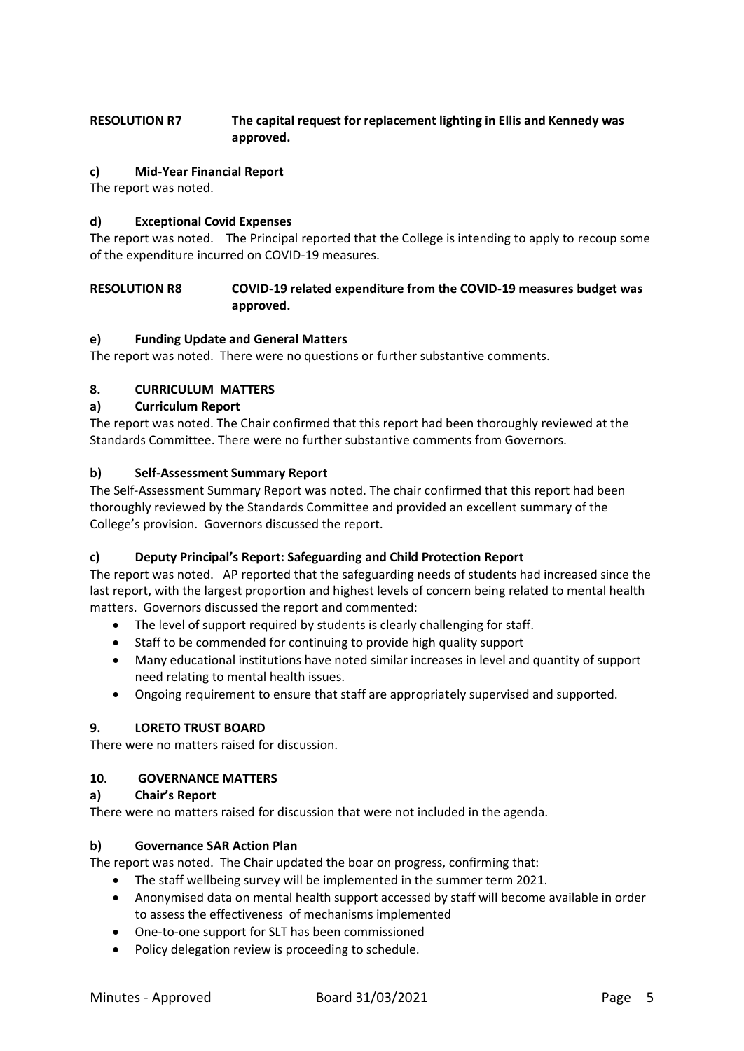### **RESOLUTION R7 The capital request for replacement lighting in Ellis and Kennedy was approved.**

### **c) Mid-Year Financial Report**

The report was noted.

### **d) Exceptional Covid Expenses**

The report was noted. The Principal reported that the College is intending to apply to recoup some of the expenditure incurred on COVID-19 measures.

### **RESOLUTION R8 COVID-19 related expenditure from the COVID-19 measures budget was approved.**

### **e) Funding Update and General Matters**

The report was noted. There were no questions or further substantive comments.

### **8. CURRICULUM MATTERS**

### **a) Curriculum Report**

The report was noted. The Chair confirmed that this report had been thoroughly reviewed at the Standards Committee. There were no further substantive comments from Governors.

#### **b) Self-Assessment Summary Report**

The Self-Assessment Summary Report was noted. The chair confirmed that this report had been thoroughly reviewed by the Standards Committee and provided an excellent summary of the College's provision. Governors discussed the report.

#### **c) Deputy Principal's Report: Safeguarding and Child Protection Report**

The report was noted. AP reported that the safeguarding needs of students had increased since the last report, with the largest proportion and highest levels of concern being related to mental health matters. Governors discussed the report and commented:

- The level of support required by students is clearly challenging for staff.
- Staff to be commended for continuing to provide high quality support
- Many educational institutions have noted similar increases in level and quantity of support need relating to mental health issues.
- Ongoing requirement to ensure that staff are appropriately supervised and supported.

#### **9. LORETO TRUST BOARD**

There were no matters raised for discussion.

#### **10. GOVERNANCE MATTERS**

#### **a) Chair's Report**

There were no matters raised for discussion that were not included in the agenda.

#### **b) Governance SAR Action Plan**

The report was noted. The Chair updated the boar on progress, confirming that:

- The staff wellbeing survey will be implemented in the summer term 2021.
- Anonymised data on mental health support accessed by staff will become available in order to assess the effectiveness of mechanisms implemented
- One-to-one support for SLT has been commissioned
- Policy delegation review is proceeding to schedule.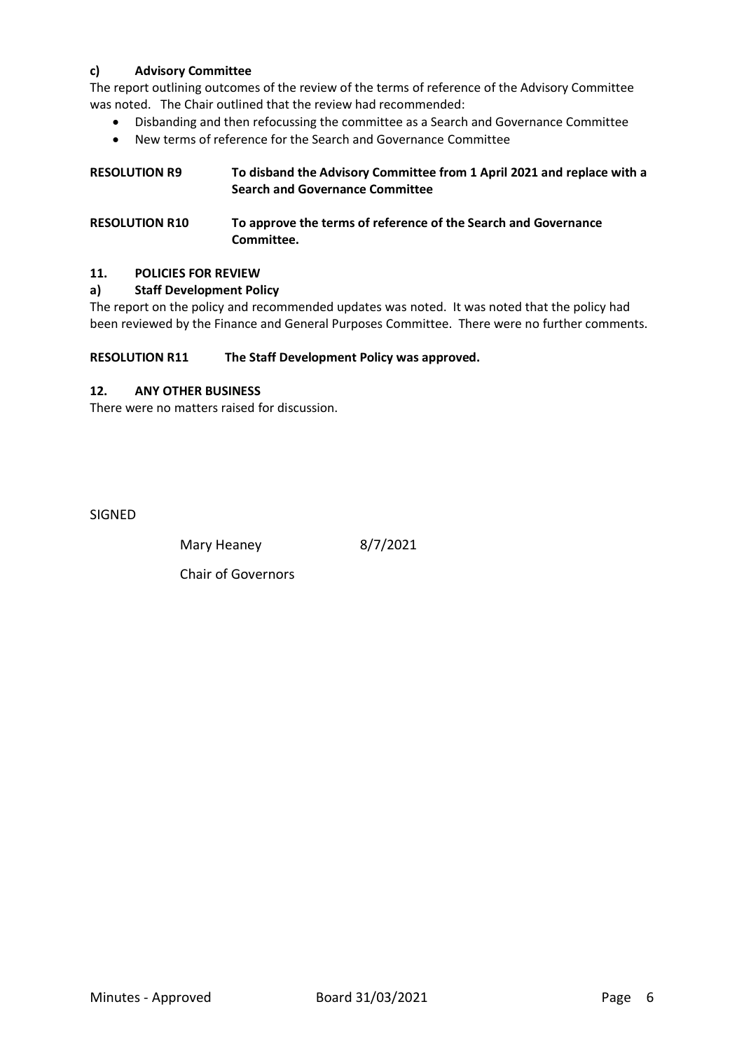### **c) Advisory Committee**

The report outlining outcomes of the review of the terms of reference of the Advisory Committee was noted. The Chair outlined that the review had recommended:

- Disbanding and then refocussing the committee as a Search and Governance Committee
- New terms of reference for the Search and Governance Committee

| <b>RESOLUTION R9</b> | To disband the Advisory Committee from 1 April 2021 and replace with a |
|----------------------|------------------------------------------------------------------------|
|                      | <b>Search and Governance Committee</b>                                 |
|                      |                                                                        |

| <b>RESOLUTION R10</b> | To approve the terms of reference of the Search and Governance |
|-----------------------|----------------------------------------------------------------|
|                       | Committee.                                                     |

#### **11. POLICIES FOR REVIEW**

### **a) Staff Development Policy**

The report on the policy and recommended updates was noted. It was noted that the policy had been reviewed by the Finance and General Purposes Committee. There were no further comments.

#### **RESOLUTION R11 The Staff Development Policy was approved.**

### **12. ANY OTHER BUSINESS**

There were no matters raised for discussion.

SIGNED

Mary Heaney 8/7/2021

Chair of Governors